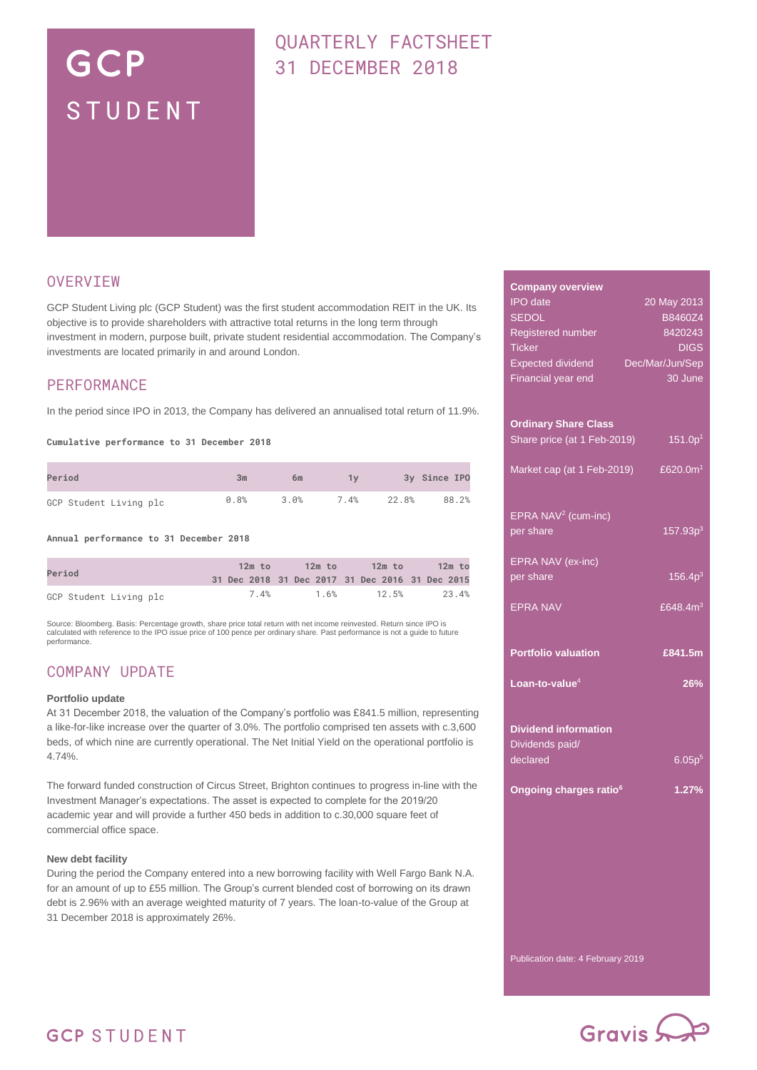# GCP STUDENT

# QUARTERLY FACTSHEET 31 DECEMBER 2018

## **OVERVIEW**

GCP Student Living plc (GCP Student) was the first student accommodation REIT in the UK. Its objective is to provide shareholders with attractive total returns in the long term through investment in modern, purpose built, private student residential accommodation. The Company's investments are located primarily in and around London.

## PERFORMANCE

In the period since IPO in 2013, the Company has delivered an annualised total return of 11.9%.

**Cumulative performance to 31 December 2018**

| Period                 | 3m   | 6m   | 1v   |       | 3y Since IPO |
|------------------------|------|------|------|-------|--------------|
| GCP Student Living plc | 0.8% | 3.0% | 7.4% | 22.8% | 88.2%        |

**Annual performance to 31 December 2018**

| Period                 | $12m$ to | 12m to | 12m to                                          | 12m to |
|------------------------|----------|--------|-------------------------------------------------|--------|
|                        |          |        | 31 Dec 2018 31 Dec 2017 31 Dec 2016 31 Dec 2015 |        |
| GCP Student Living plc | 7.4%     | 1.6%   | 12.5%                                           | 23.4%  |

Source: Bloomberg. Basis: Percentage growth, share price total return with net income reinvested. Return since IPO is calculated with reference to the IPO issue price of 100 pence per ordinary share. Past performance is not a guide to future performance.

## COMPANY UPDATE

#### **Portfolio update**

At 31 December 2018, the valuation of the Company's portfolio was £841.5 million, representing a like-for-like increase over the quarter of 3.0%. The portfolio comprised ten assets with c.3,600 beds, of which nine are currently operational. The Net Initial Yield on the operational portfolio is 4.74%.

The forward funded construction of Circus Street, Brighton continues to progress in-line with the Investment Manager's expectations. The asset is expected to complete for the 2019/20 academic year and will provide a further 450 beds in addition to c.30,000 square feet of commercial office space.

#### **New debt facility**

During the period the Company entered into a new borrowing facility with Well Fargo Bank N.A. for an amount of up to £55 million. The Group's current blended cost of borrowing on its drawn debt is 2.96% with an average weighted maturity of 7 years. The loan-to-value of the Group at 31 December 2018 is approximately 26%.

| <b>Company overview</b>            |                      |
|------------------------------------|----------------------|
| <b>IPO</b> date                    | 20 May 2013          |
| <b>SEDOL</b>                       | B8460Z4              |
| Registered number                  | 8420243              |
| <b>Ticker</b>                      | <b>DIGS</b>          |
| <b>Expected dividend</b>           | Dec/Mar/Jun/Sep      |
| Financial year end                 | 30 June              |
|                                    |                      |
|                                    |                      |
| <b>Ordinary Share Class</b>        |                      |
| Share price (at 1 Feb-2019)        | 151.0p <sup>1</sup>  |
|                                    |                      |
| Market cap (at 1 Feb-2019)         | £620.0m <sup>1</sup> |
|                                    |                      |
|                                    |                      |
| EPRA NAV <sup>2</sup> (cum-inc)    |                      |
| per share                          | 157.93p <sup>3</sup> |
|                                    |                      |
| EPRA NAV (ex-inc)                  |                      |
| per share                          | 156.4p <sup>3</sup>  |
|                                    |                      |
| <b>EPRA NAV</b>                    | £648.4 $m3$          |
|                                    |                      |
|                                    |                      |
| <b>Portfolio valuation</b>         | £841.5m              |
|                                    |                      |
| Loan-to-value <sup>4</sup>         | 26%                  |
|                                    |                      |
|                                    |                      |
| <b>Dividend information</b>        |                      |
| Dividends paid/                    |                      |
| declared                           | 6.05p <sup>5</sup>   |
|                                    |                      |
| Ongoing charges ratio <sup>6</sup> | 1.27%                |
|                                    |                      |
|                                    |                      |
|                                    |                      |
|                                    |                      |
|                                    |                      |
|                                    |                      |
|                                    |                      |
|                                    |                      |
|                                    |                      |
|                                    |                      |

Gravis S

Publication date: 4 February 2019

## **GCP STUDENT**